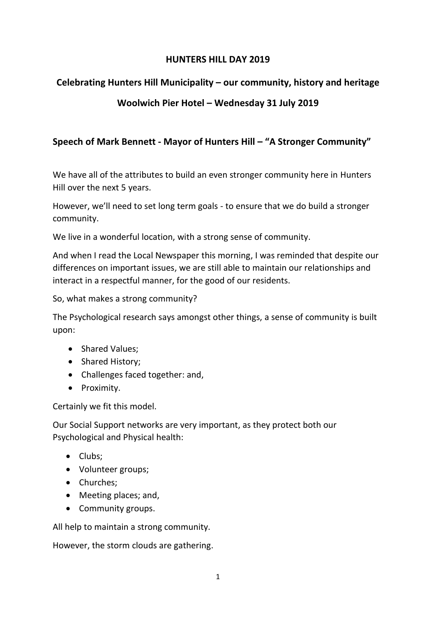#### **HUNTERS HILL DAY 2019**

# **Celebrating Hunters Hill Municipality – our community, history and heritage**

# **Woolwich Pier Hotel – Wednesday 31 July 2019**

# **Speech of Mark Bennett - Mayor of Hunters Hill – "A Stronger Community"**

We have all of the attributes to build an even stronger community here in Hunters Hill over the next 5 years.

However, we'll need to set long term goals - to ensure that we do build a stronger community.

We live in a wonderful location, with a strong sense of community.

And when I read the Local Newspaper this morning, I was reminded that despite our differences on important issues, we are still able to maintain our relationships and interact in a respectful manner, for the good of our residents.

So, what makes a strong community?

The Psychological research says amongst other things, a sense of community is built upon:

- Shared Values;
- Shared History;
- Challenges faced together: and,
- Proximity.

Certainly we fit this model.

Our Social Support networks are very important, as they protect both our Psychological and Physical health:

- Clubs;
- Volunteer groups;
- Churches;
- Meeting places; and,
- Community groups.

All help to maintain a strong community.

However, the storm clouds are gathering.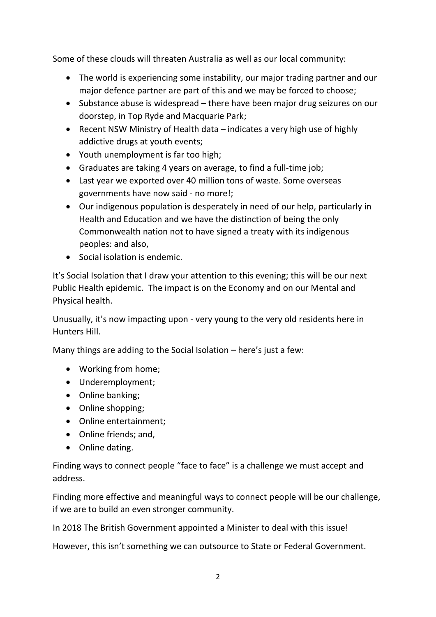Some of these clouds will threaten Australia as well as our local community:

- The world is experiencing some instability, our major trading partner and our major defence partner are part of this and we may be forced to choose;
- Substance abuse is widespread there have been major drug seizures on our doorstep, in Top Ryde and Macquarie Park;
- Recent NSW Ministry of Health data indicates a very high use of highly addictive drugs at youth events;
- Youth unemployment is far too high;
- Graduates are taking 4 years on average, to find a full-time job;
- Last year we exported over 40 million tons of waste. Some overseas governments have now said - no more!;
- Our indigenous population is desperately in need of our help, particularly in Health and Education and we have the distinction of being the only Commonwealth nation not to have signed a treaty with its indigenous peoples: and also,
- Social isolation is endemic.

It's Social Isolation that I draw your attention to this evening; this will be our next Public Health epidemic. The impact is on the Economy and on our Mental and Physical health.

Unusually, it's now impacting upon - very young to the very old residents here in Hunters Hill.

Many things are adding to the Social Isolation – here's just a few:

- Working from home;
- Underemployment;
- Online banking;
- Online shopping;
- Online entertainment;
- Online friends; and,
- Online dating.

Finding ways to connect people "face to face" is a challenge we must accept and address.

Finding more effective and meaningful ways to connect people will be our challenge, if we are to build an even stronger community.

In 2018 The British Government appointed a Minister to deal with this issue!

However, this isn't something we can outsource to State or Federal Government.